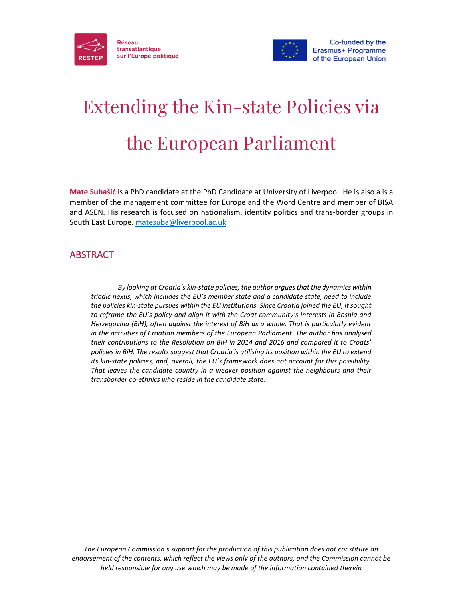



# Extending the Kin-state Policies via the European Parliament

**Mate Subašić** is a PhD candidate at the PhD Candidate at University of Liverpool. He is also a is a member of the management committee for Europe and the Word Centre and member of BISA and ASEN. His research is focused on nationalism, identity politics and trans-border groups in South East Europe. [matesuba@liverpool.ac.uk](mailto:matesuba@liverpool.ac.uk)

# ABSTRACT

*By looking at Croatia's kin-state policies, the author argues that the dynamics within triadic nexus, which includes the EU's member state and a candidate state, need to include the policies kin-state pursues within the EU institutions. Since Croatia joined the EU, it sought to reframe the EU's policy and align it with the Croat community's interests in Bosnia and Herzegovina (BiH), often against the interest of BiH as a whole. That is particularly evident in the activities of Croatian members of the European Parliament. The author has analysed their contributions to the Resolution on BiH in 2014 and 2016 and compared it to Croats' policies in BiH. The results suggest that Croatia is utilising its position within the EU to extend its kin-state policies, and, overall, the EU's framework does not account for this possibility. That leaves the candidate country in a weaker position against the neighbours and their transborder co-ethnics who reside in the candidate state.*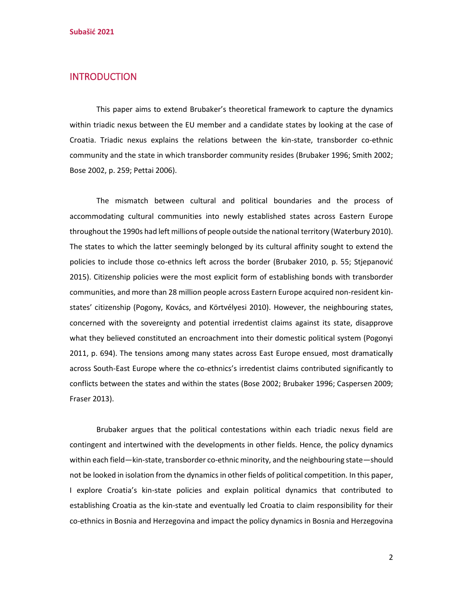#### **INTRODUCTION**

This paper aims to extend Brubaker's theoretical framework to capture the dynamics within triadic nexus between the EU member and a candidate states by looking at the case of Croatia. Triadic nexus explains the relations between the kin-state, transborder co-ethnic community and the state in which transborder community resides (Brubaker 1996; Smith 2002; Bose 2002, p. 259; Pettai 2006).

The mismatch between cultural and political boundaries and the process of accommodating cultural communities into newly established states across Eastern Europe throughout the 1990s had left millions of people outside the national territory (Waterbury 2010). The states to which the latter seemingly belonged by its cultural affinity sought to extend the policies to include those co-ethnics left across the border (Brubaker 2010, p. 55; Stjepanović 2015). Citizenship policies were the most explicit form of establishing bonds with transborder communities, and more than 28 million people across Eastern Europe acquired non-resident kinstates' citizenship (Pogony, Kovács, and Körtvélyesi 2010). However, the neighbouring states, concerned with the sovereignty and potential irredentist claims against its state, disapprove what they believed constituted an encroachment into their domestic political system (Pogonyi 2011, p. 694). The tensions among many states across East Europe ensued, most dramatically across South-East Europe where the co-ethnics's irredentist claims contributed significantly to conflicts between the states and within the states (Bose 2002; Brubaker 1996; Caspersen 2009; Fraser 2013).

Brubaker argues that the political contestations within each triadic nexus field are contingent and intertwined with the developments in other fields. Hence, the policy dynamics within each field—kin-state, transborder co-ethnic minority, and the neighbouring state—should not be looked in isolation from the dynamics in other fields of political competition. In this paper, I explore Croatia's kin-state policies and explain political dynamics that contributed to establishing Croatia as the kin-state and eventually led Croatia to claim responsibility for their co-ethnics in Bosnia and Herzegovina and impact the policy dynamics in Bosnia and Herzegovina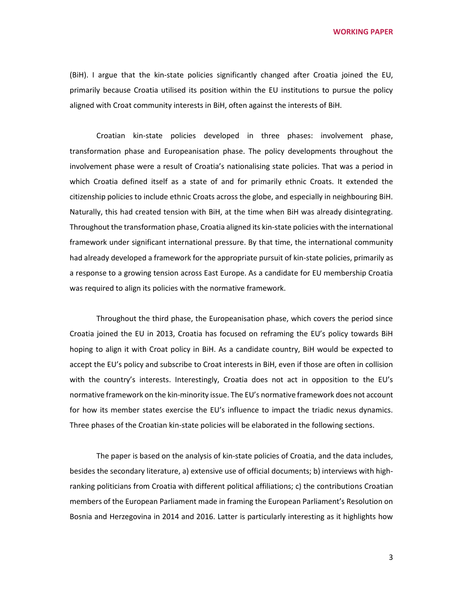(BiH). I argue that the kin-state policies significantly changed after Croatia joined the EU, primarily because Croatia utilised its position within the EU institutions to pursue the policy aligned with Croat community interests in BiH, often against the interests of BiH.

Croatian kin-state policies developed in three phases: involvement phase, transformation phase and Europeanisation phase. The policy developments throughout the involvement phase were a result of Croatia's nationalising state policies. That was a period in which Croatia defined itself as a state of and for primarily ethnic Croats. It extended the citizenship policies to include ethnic Croats across the globe, and especially in neighbouring BiH. Naturally, this had created tension with BiH, at the time when BiH was already disintegrating. Throughout the transformation phase, Croatia aligned its kin-state policies with the international framework under significant international pressure. By that time, the international community had already developed a framework for the appropriate pursuit of kin-state policies, primarily as a response to a growing tension across East Europe. As a candidate for EU membership Croatia was required to align its policies with the normative framework.

Throughout the third phase, the Europeanisation phase, which covers the period since Croatia joined the EU in 2013, Croatia has focused on reframing the EU's policy towards BiH hoping to align it with Croat policy in BiH. As a candidate country, BiH would be expected to accept the EU's policy and subscribe to Croat interests in BiH, even if those are often in collision with the country's interests. Interestingly, Croatia does not act in opposition to the EU's normative framework on the kin-minority issue. The EU's normative framework does not account for how its member states exercise the EU's influence to impact the triadic nexus dynamics. Three phases of the Croatian kin-state policies will be elaborated in the following sections.

The paper is based on the analysis of kin-state policies of Croatia, and the data includes, besides the secondary literature, a) extensive use of official documents; b) interviews with highranking politicians from Croatia with different political affiliations; c) the contributions Croatian members of the European Parliament made in framing the European Parliament's Resolution on Bosnia and Herzegovina in 2014 and 2016. Latter is particularly interesting as it highlights how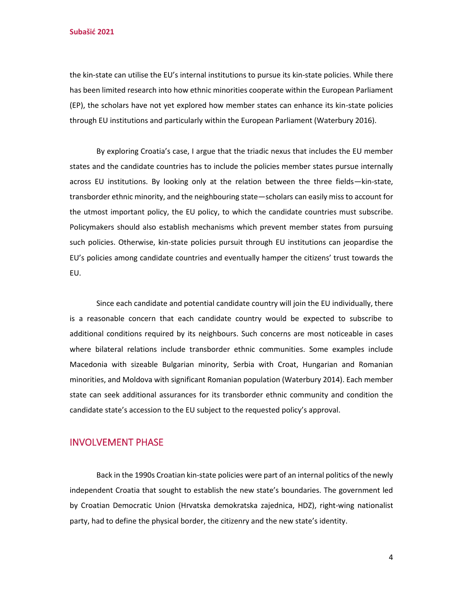**Subašić 2021**

the kin-state can utilise the EU's internal institutions to pursue its kin-state policies. While there has been limited research into how ethnic minorities cooperate within the European Parliament (EP), the scholars have not yet explored how member states can enhance its kin-state policies through EU institutions and particularly within the European Parliament (Waterbury 2016).

By exploring Croatia's case, I argue that the triadic nexus that includes the EU member states and the candidate countries has to include the policies member states pursue internally across EU institutions. By looking only at the relation between the three fields—kin-state, transborder ethnic minority, and the neighbouring state—scholars can easily miss to account for the utmost important policy, the EU policy, to which the candidate countries must subscribe. Policymakers should also establish mechanisms which prevent member states from pursuing such policies. Otherwise, kin-state policies pursuit through EU institutions can jeopardise the EU's policies among candidate countries and eventually hamper the citizens' trust towards the EU.

Since each candidate and potential candidate country will join the EU individually, there is a reasonable concern that each candidate country would be expected to subscribe to additional conditions required by its neighbours. Such concerns are most noticeable in cases where bilateral relations include transborder ethnic communities. Some examples include Macedonia with sizeable Bulgarian minority, Serbia with Croat, Hungarian and Romanian minorities, and Moldova with significant Romanian population (Waterbury 2014). Each member state can seek additional assurances for its transborder ethnic community and condition the candidate state's accession to the EU subject to the requested policy's approval.

### INVOLVEMENT PHASE

Back in the 1990s Croatian kin-state policies were part of an internal politics of the newly independent Croatia that sought to establish the new state's boundaries. The government led by Croatian Democratic Union (Hrvatska demokratska zajednica, HDZ), right-wing nationalist party, had to define the physical border, the citizenry and the new state's identity.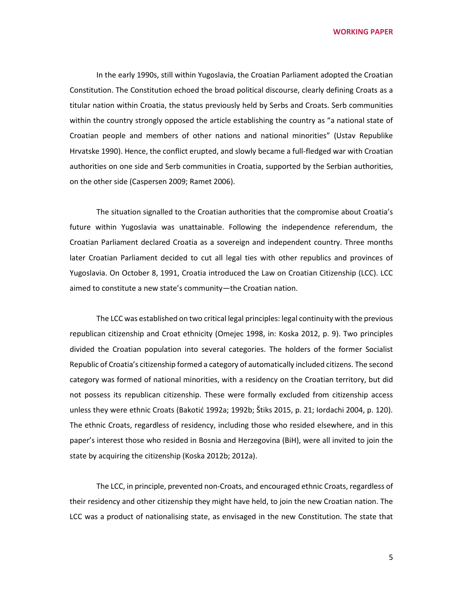In the early 1990s, still within Yugoslavia, the Croatian Parliament adopted the Croatian Constitution. The Constitution echoed the broad political discourse, clearly defining Croats as a titular nation within Croatia, the status previously held by Serbs and Croats. Serb communities within the country strongly opposed the article establishing the country as "a national state of Croatian people and members of other nations and national minorities" (Ustav Republike Hrvatske 1990). Hence, the conflict erupted, and slowly became a full-fledged war with Croatian authorities on one side and Serb communities in Croatia, supported by the Serbian authorities, on the other side (Caspersen 2009; Ramet 2006).

The situation signalled to the Croatian authorities that the compromise about Croatia's future within Yugoslavia was unattainable. Following the independence referendum, the Croatian Parliament declared Croatia as a sovereign and independent country. Three months later Croatian Parliament decided to cut all legal ties with other republics and provinces of Yugoslavia. On October 8, 1991, Croatia introduced the Law on Croatian Citizenship (LCC). LCC aimed to constitute a new state's community—the Croatian nation.

The LCC was established on two critical legal principles: legal continuity with the previous republican citizenship and Croat ethnicity (Omejec 1998, in: Koska 2012, p. 9). Two principles divided the Croatian population into several categories. The holders of the former Socialist Republic of Croatia's citizenship formed a category of automatically included citizens. The second category was formed of national minorities, with a residency on the Croatian territory, but did not possess its republican citizenship. These were formally excluded from citizenship access unless they were ethnic Croats (Bakotić 1992a; 1992b; Štiks 2015, p. 21; Iordachi 2004, p. 120). The ethnic Croats, regardless of residency, including those who resided elsewhere, and in this paper's interest those who resided in Bosnia and Herzegovina (BiH), were all invited to join the state by acquiring the citizenship (Koska 2012b; 2012a).

The LCC, in principle, prevented non-Croats, and encouraged ethnic Croats, regardless of their residency and other citizenship they might have held, to join the new Croatian nation. The LCC was a product of nationalising state, as envisaged in the new Constitution. The state that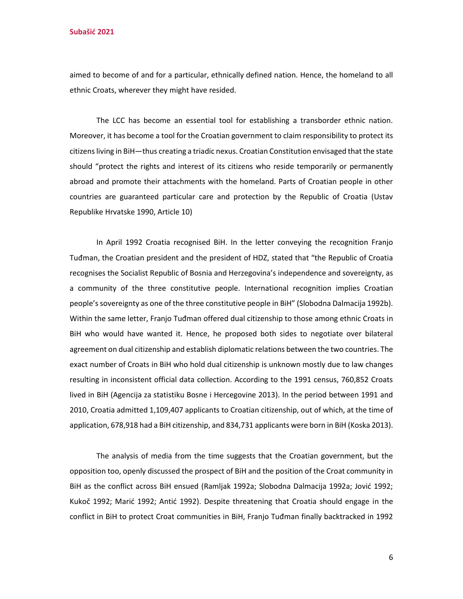aimed to become of and for a particular, ethnically defined nation. Hence, the homeland to all ethnic Croats, wherever they might have resided.

The LCC has become an essential tool for establishing a transborder ethnic nation. Moreover, it has become a tool for the Croatian government to claim responsibility to protect its citizens living in BiH—thus creating a triadic nexus. Croatian Constitution envisaged that the state should "protect the rights and interest of its citizens who reside temporarily or permanently abroad and promote their attachments with the homeland. Parts of Croatian people in other countries are guaranteed particular care and protection by the Republic of Croatia (Ustav Republike Hrvatske 1990, Article 10)

In April 1992 Croatia recognised BiH. In the letter conveying the recognition Franjo Tuđman, the Croatian president and the president of HDZ, stated that "the Republic of Croatia recognises the Socialist Republic of Bosnia and Herzegovina's independence and sovereignty, as a community of the three constitutive people. International recognition implies Croatian people's sovereignty as one of the three constitutive people in BiH" (Slobodna Dalmacija 1992b). Within the same letter, Franjo Tuđman offered dual citizenship to those among ethnic Croats in BiH who would have wanted it. Hence, he proposed both sides to negotiate over bilateral agreement on dual citizenship and establish diplomatic relations between the two countries. The exact number of Croats in BiH who hold dual citizenship is unknown mostly due to law changes resulting in inconsistent official data collection. According to the 1991 census, 760,852 Croats lived in BiH (Agencija za statistiku Bosne i Hercegovine 2013). In the period between 1991 and 2010, Croatia admitted 1,109,407 applicants to Croatian citizenship, out of which, at the time of application, 678,918 had a BiH citizenship, and 834,731 applicants were born in BiH (Koska 2013).

The analysis of media from the time suggests that the Croatian government, but the opposition too, openly discussed the prospect of BiH and the position of the Croat community in BiH as the conflict across BiH ensued (Ramljak 1992a; Slobodna Dalmacija 1992a; Jović 1992; Kukoč 1992; Marić 1992; Antić 1992). Despite threatening that Croatia should engage in the conflict in BiH to protect Croat communities in BiH, Franjo Tuđman finally backtracked in 1992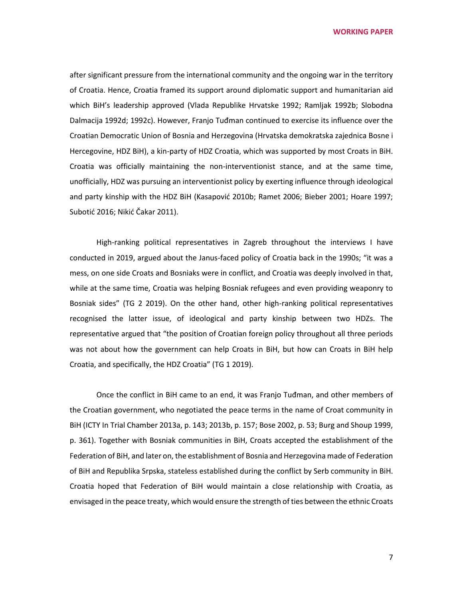after significant pressure from the international community and the ongoing war in the territory of Croatia. Hence, Croatia framed its support around diplomatic support and humanitarian aid which BiH's leadership approved (Vlada Republike Hrvatske 1992; Ramljak 1992b; Slobodna Dalmacija 1992d; 1992c). However, Franjo Tuđman continued to exercise its influence over the Croatian Democratic Union of Bosnia and Herzegovina (Hrvatska demokratska zajednica Bosne i Hercegovine, HDZ BiH), a kin-party of HDZ Croatia, which was supported by most Croats in BiH. Croatia was officially maintaining the non-interventionist stance, and at the same time, unofficially, HDZ was pursuing an interventionist policy by exerting influence through ideological and party kinship with the HDZ BiH (Kasapović 2010b; Ramet 2006; Bieber 2001; Hoare 1997; Subotić 2016; Nikić Čakar 2011).

High-ranking political representatives in Zagreb throughout the interviews I have conducted in 2019, argued about the Janus-faced policy of Croatia back in the 1990s; "it was a mess, on one side Croats and Bosniaks were in conflict, and Croatia was deeply involved in that, while at the same time, Croatia was helping Bosniak refugees and even providing weaponry to Bosniak sides" (TG 2 2019). On the other hand, other high-ranking political representatives recognised the latter issue, of ideological and party kinship between two HDZs. The representative argued that "the position of Croatian foreign policy throughout all three periods was not about how the government can help Croats in BiH, but how can Croats in BiH help Croatia, and specifically, the HDZ Croatia" (TG 1 2019).

Once the conflict in BiH came to an end, it was Franjo Tuđman, and other members of the Croatian government, who negotiated the peace terms in the name of Croat community in BiH (ICTY In Trial Chamber 2013a, p. 143; 2013b, p. 157; Bose 2002, p. 53; Burg and Shoup 1999, p. 361). Together with Bosniak communities in BiH, Croats accepted the establishment of the Federation of BiH, and later on, the establishment of Bosnia and Herzegovina made of Federation of BiH and Republika Srpska, stateless established during the conflict by Serb community in BiH. Croatia hoped that Federation of BiH would maintain a close relationship with Croatia, as envisaged in the peace treaty, which would ensure the strength of ties between the ethnic Croats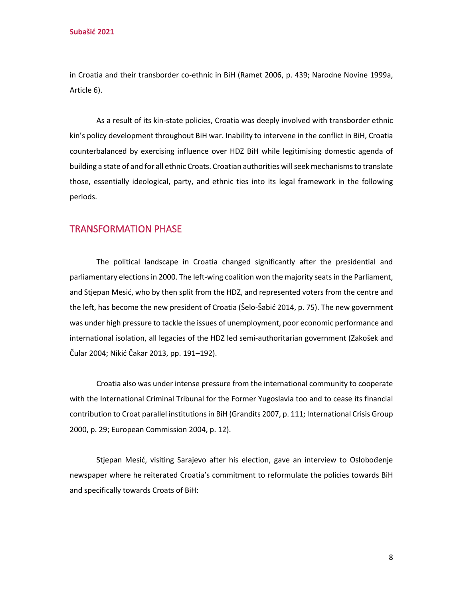in Croatia and their transborder co-ethnic in BiH (Ramet 2006, p. 439; Narodne Novine 1999a, Article 6).

As a result of its kin-state policies, Croatia was deeply involved with transborder ethnic kin's policy development throughout BiH war. Inability to intervene in the conflict in BiH, Croatia counterbalanced by exercising influence over HDZ BiH while legitimising domestic agenda of building a state of and for all ethnic Croats. Croatian authorities will seek mechanisms to translate those, essentially ideological, party, and ethnic ties into its legal framework in the following periods.

#### TRANSFORMATION PHASE

The political landscape in Croatia changed significantly after the presidential and parliamentary elections in 2000. The left-wing coalition won the majority seats in the Parliament, and Stjepan Mesić, who by then split from the HDZ, and represented voters from the centre and the left, has become the new president of Croatia (Šelo-Šabić 2014, p. 75). The new government was under high pressure to tackle the issues of unemployment, poor economic performance and international isolation, all legacies of the HDZ led semi-authoritarian government (Zakošek and Čular 2004; Nikić Čakar 2013, pp. 191–192).

Croatia also was under intense pressure from the international community to cooperate with the International Criminal Tribunal for the Former Yugoslavia too and to cease its financial contribution to Croat parallel institutions in BiH (Grandits 2007, p. 111; International Crisis Group 2000, p. 29; European Commission 2004, p. 12).

Stjepan Mesić, visiting Sarajevo after his election, gave an interview to Oslobođenje newspaper where he reiterated Croatia's commitment to reformulate the policies towards BiH and specifically towards Croats of BiH: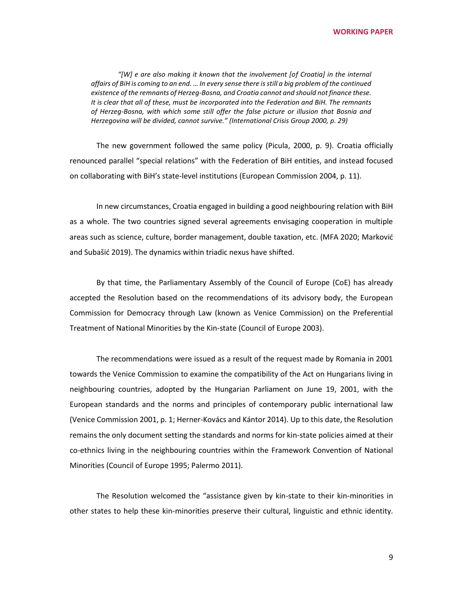*"[W] e are also making it known that the involvement [of Croatia] in the internal affairs of BiH is coming to an end. … In every sense there is still a big problem of the continued existence of the remnants of Herzeg-Bosna, and Croatia cannot and should not finance these. It is clear that all of these, must be incorporated into the Federation and BiH. The remnants of Herzeg-Bosna, with which some still offer the false picture or illusion that Bosnia and Herzegovina will be divided, cannot survive." (International Crisis Group 2000, p. 29)*

The new government followed the same policy (Picula, 2000, p. 9). Croatia officially renounced parallel "special relations" with the Federation of BiH entities, and instead focused on collaborating with BiH's state-level institutions (European Commission 2004, p. 11).

In new circumstances, Croatia engaged in building a good neighbouring relation with BiH as a whole. The two countries signed several agreements envisaging cooperation in multiple areas such as science, culture, border management, double taxation, etc. (MFA 2020; Marković and Subašić 2019). The dynamics within triadic nexus have shifted.

By that time, the Parliamentary Assembly of the Council of Europe (CoE) has already accepted the Resolution based on the recommendations of its advisory body, the European Commission for Democracy through Law (known as Venice Commission) on the Preferential Treatment of National Minorities by the Kin-state (Council of Europe 2003).

The recommendations were issued as a result of the request made by Romania in 2001 towards the Venice Commission to examine the compatibility of the Act on Hungarians living in neighbouring countries, adopted by the Hungarian Parliament on June 19, 2001, with the European standards and the norms and principles of contemporary public international law (Venice Commission 2001, p. 1; Herner-Kovács and Kántor 2014). Up to this date, the Resolution remains the only document setting the standards and norms for kin-state policies aimed at their co-ethnics living in the neighbouring countries within the Framework Convention of National Minorities (Council of Europe 1995; Palermo 2011).

The Resolution welcomed the "assistance given by kin-state to their kin-minorities in other states to help these kin-minorities preserve their cultural, linguistic and ethnic identity.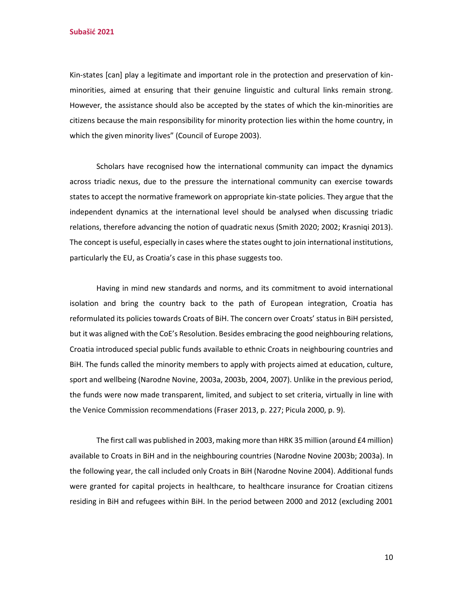**Subašić 2021**

Kin-states [can] play a legitimate and important role in the protection and preservation of kinminorities, aimed at ensuring that their genuine linguistic and cultural links remain strong. However, the assistance should also be accepted by the states of which the kin-minorities are citizens because the main responsibility for minority protection lies within the home country, in which the given minority lives" (Council of Europe 2003).

Scholars have recognised how the international community can impact the dynamics across triadic nexus, due to the pressure the international community can exercise towards states to accept the normative framework on appropriate kin-state policies. They argue that the independent dynamics at the international level should be analysed when discussing triadic relations, therefore advancing the notion of quadratic nexus (Smith 2020; 2002; Krasniqi 2013). The concept is useful, especially in cases where the states ought to join international institutions, particularly the EU, as Croatia's case in this phase suggests too.

Having in mind new standards and norms, and its commitment to avoid international isolation and bring the country back to the path of European integration, Croatia has reformulated its policies towards Croats of BiH. The concern over Croats' status in BiH persisted, but it was aligned with the CoE's Resolution. Besides embracing the good neighbouring relations, Croatia introduced special public funds available to ethnic Croats in neighbouring countries and BiH. The funds called the minority members to apply with projects aimed at education, culture, sport and wellbeing (Narodne Novine, 2003a, 2003b, 2004, 2007). Unlike in the previous period, the funds were now made transparent, limited, and subject to set criteria, virtually in line with the Venice Commission recommendations (Fraser 2013, p. 227; Picula 2000, p. 9).

The first call was published in 2003, making more than HRK 35 million (around £4 million) available to Croats in BiH and in the neighbouring countries (Narodne Novine 2003b; 2003a). In the following year, the call included only Croats in BiH (Narodne Novine 2004). Additional funds were granted for capital projects in healthcare, to healthcare insurance for Croatian citizens residing in BiH and refugees within BiH. In the period between 2000 and 2012 (excluding 2001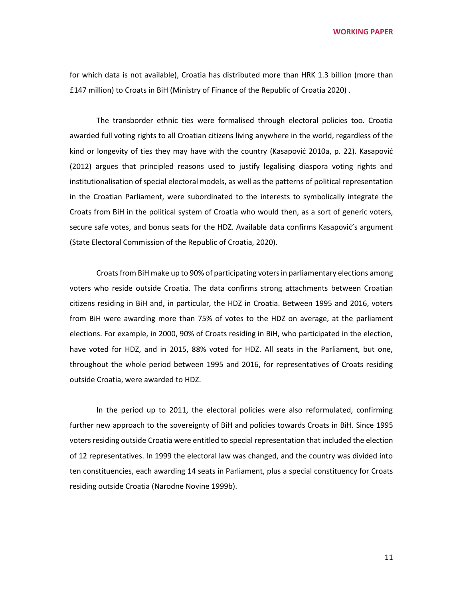for which data is not available), Croatia has distributed more than HRK 1.3 billion (more than £147 million) to Croats in BiH (Ministry of Finance of the Republic of Croatia 2020) .

The transborder ethnic ties were formalised through electoral policies too. Croatia awarded full voting rights to all Croatian citizens living anywhere in the world, regardless of the kind or longevity of ties they may have with the country (Kasapović 2010a, p. 22). Kasapović (2012) argues that principled reasons used to justify legalising diaspora voting rights and institutionalisation of special electoral models, as well as the patterns of political representation in the Croatian Parliament, were subordinated to the interests to symbolically integrate the Croats from BiH in the political system of Croatia who would then, as a sort of generic voters, secure safe votes, and bonus seats for the HDZ. Available data confirms Kasapović's argument (State Electoral Commission of the Republic of Croatia, 2020).

Croats from BiH make up to 90% of participating voters in parliamentary elections among voters who reside outside Croatia. The data confirms strong attachments between Croatian citizens residing in BiH and, in particular, the HDZ in Croatia. Between 1995 and 2016, voters from BiH were awarding more than 75% of votes to the HDZ on average, at the parliament elections. For example, in 2000, 90% of Croats residing in BiH, who participated in the election, have voted for HDZ, and in 2015, 88% voted for HDZ. All seats in the Parliament, but one, throughout the whole period between 1995 and 2016, for representatives of Croats residing outside Croatia, were awarded to HDZ.

In the period up to 2011, the electoral policies were also reformulated, confirming further new approach to the sovereignty of BiH and policies towards Croats in BiH. Since 1995 voters residing outside Croatia were entitled to special representation that included the election of 12 representatives. In 1999 the electoral law was changed, and the country was divided into ten constituencies, each awarding 14 seats in Parliament, plus a special constituency for Croats residing outside Croatia (Narodne Novine 1999b).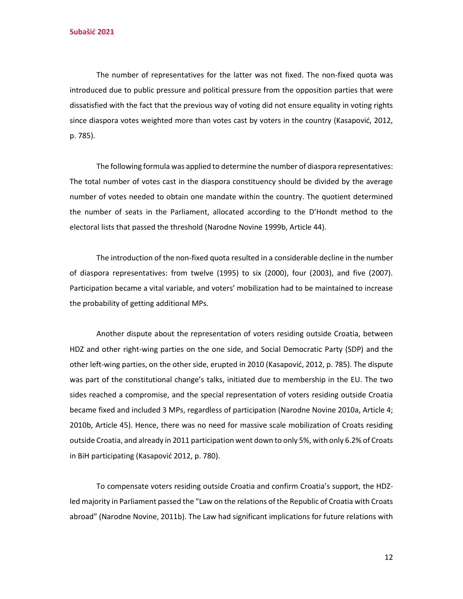The number of representatives for the latter was not fixed. The non-fixed quota was introduced due to public pressure and political pressure from the opposition parties that were dissatisfied with the fact that the previous way of voting did not ensure equality in voting rights since diaspora votes weighted more than votes cast by voters in the country (Kasapović, 2012, p. 785).

The following formula was applied to determine the number of diaspora representatives: The total number of votes cast in the diaspora constituency should be divided by the average number of votes needed to obtain one mandate within the country. The quotient determined the number of seats in the Parliament, allocated according to the D'Hondt method to the electoral lists that passed the threshold (Narodne Novine 1999b, Article 44).

The introduction of the non-fixed quota resulted in a considerable decline in the number of diaspora representatives: from twelve (1995) to six (2000), four (2003), and five (2007). Participation became a vital variable, and voters' mobilization had to be maintained to increase the probability of getting additional MPs.

Another dispute about the representation of voters residing outside Croatia, between HDZ and other right-wing parties on the one side, and Social Democratic Party (SDP) and the other left-wing parties, on the other side, erupted in 2010 (Kasapović, 2012, p. 785). The dispute was part of the constitutional change's talks, initiated due to membership in the EU. The two sides reached a compromise, and the special representation of voters residing outside Croatia became fixed and included 3 MPs, regardless of participation (Narodne Novine 2010a, Article 4; 2010b, Article 45). Hence, there was no need for massive scale mobilization of Croats residing outside Croatia, and already in 2011 participation went down to only 5%, with only 6.2% of Croats in BiH participating (Kasapović 2012, p. 780).

To compensate voters residing outside Croatia and confirm Croatia's support, the HDZled majority in Parliament passed the "Law on the relations of the Republic of Croatia with Croats abroad" (Narodne Novine, 2011b). The Law had significant implications for future relations with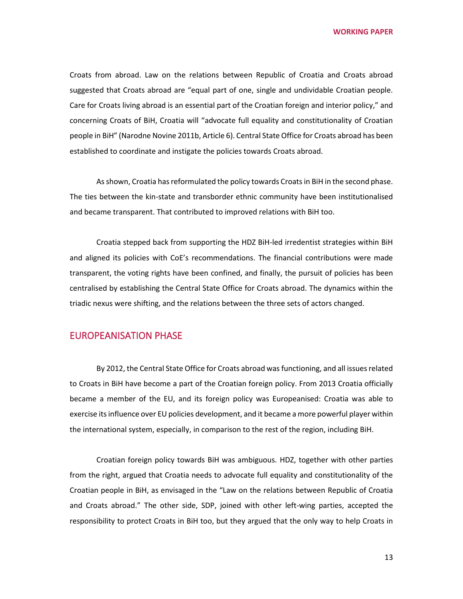Croats from abroad. Law on the relations between Republic of Croatia and Croats abroad suggested that Croats abroad are "equal part of one, single and undividable Croatian people. Care for Croats living abroad is an essential part of the Croatian foreign and interior policy," and concerning Croats of BiH, Croatia will "advocate full equality and constitutionality of Croatian people in BiH" (Narodne Novine 2011b, Article 6). Central State Office for Croats abroad has been established to coordinate and instigate the policies towards Croats abroad.

As shown, Croatia has reformulated the policy towards Croats in BiH in the second phase. The ties between the kin-state and transborder ethnic community have been institutionalised and became transparent. That contributed to improved relations with BiH too.

Croatia stepped back from supporting the HDZ BiH-led irredentist strategies within BiH and aligned its policies with CoE's recommendations. The financial contributions were made transparent, the voting rights have been confined, and finally, the pursuit of policies has been centralised by establishing the Central State Office for Croats abroad. The dynamics within the triadic nexus were shifting, and the relations between the three sets of actors changed.

# EUROPEANISATION PHASE

By 2012, the Central State Office for Croats abroad was functioning, and all issues related to Croats in BiH have become a part of the Croatian foreign policy. From 2013 Croatia officially became a member of the EU, and its foreign policy was Europeanised: Croatia was able to exercise its influence over EU policies development, and it became a more powerful player within the international system, especially, in comparison to the rest of the region, including BiH.

Croatian foreign policy towards BiH was ambiguous. HDZ, together with other parties from the right, argued that Croatia needs to advocate full equality and constitutionality of the Croatian people in BiH, as envisaged in the "Law on the relations between Republic of Croatia and Croats abroad." The other side, SDP, joined with other left-wing parties, accepted the responsibility to protect Croats in BiH too, but they argued that the only way to help Croats in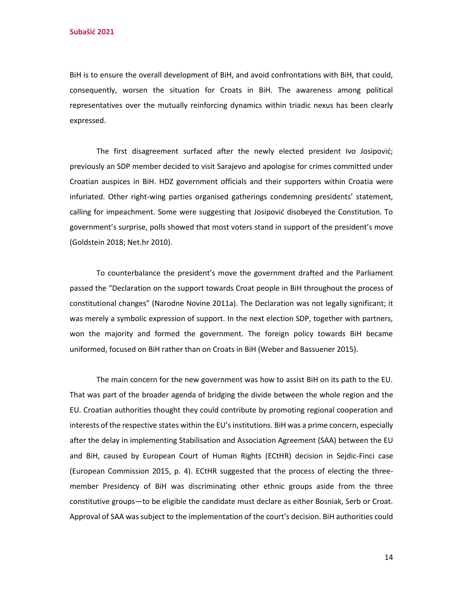BiH is to ensure the overall development of BiH, and avoid confrontations with BiH, that could, consequently, worsen the situation for Croats in BiH. The awareness among political representatives over the mutually reinforcing dynamics within triadic nexus has been clearly expressed.

The first disagreement surfaced after the newly elected president Ivo Josipović; previously an SDP member decided to visit Sarajevo and apologise for crimes committed under Croatian auspices in BiH. HDZ government officials and their supporters within Croatia were infuriated. Other right-wing parties organised gatherings condemning presidents' statement, calling for impeachment. Some were suggesting that Josipović disobeyed the Constitution. To government's surprise, polls showed that most voters stand in support of the president's move (Goldstein 2018; Net.hr 2010).

To counterbalance the president's move the government drafted and the Parliament passed the "Declaration on the support towards Croat people in BiH throughout the process of constitutional changes" (Narodne Novine 2011a). The Declaration was not legally significant; it was merely a symbolic expression of support. In the next election SDP, together with partners, won the majority and formed the government. The foreign policy towards BiH became uniformed, focused on BiH rather than on Croats in BiH (Weber and Bassuener 2015).

The main concern for the new government was how to assist BiH on its path to the EU. That was part of the broader agenda of bridging the divide between the whole region and the EU. Croatian authorities thought they could contribute by promoting regional cooperation and interests of the respective states within the EU's institutions. BiH was a prime concern, especially after the delay in implementing Stabilisation and Association Agreement (SAA) between the EU and BiH, caused by European Court of Human Rights (ECtHR) decision in Sejdic-Finci case (European Commission 2015, p. 4). ECtHR suggested that the process of electing the threemember Presidency of BiH was discriminating other ethnic groups aside from the three constitutive groups—to be eligible the candidate must declare as either Bosniak, Serb or Croat. Approval of SAA was subject to the implementation of the court's decision. BiH authorities could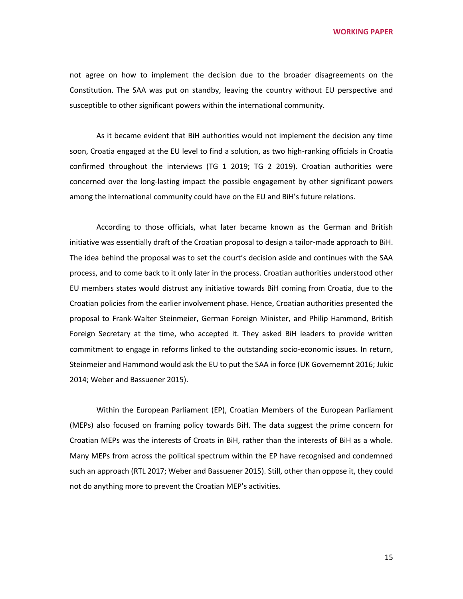not agree on how to implement the decision due to the broader disagreements on the Constitution. The SAA was put on standby, leaving the country without EU perspective and susceptible to other significant powers within the international community.

As it became evident that BiH authorities would not implement the decision any time soon, Croatia engaged at the EU level to find a solution, as two high-ranking officials in Croatia confirmed throughout the interviews (TG 1 2019; TG 2 2019). Croatian authorities were concerned over the long-lasting impact the possible engagement by other significant powers among the international community could have on the EU and BiH's future relations.

According to those officials, what later became known as the German and British initiative was essentially draft of the Croatian proposal to design a tailor-made approach to BiH. The idea behind the proposal was to set the court's decision aside and continues with the SAA process, and to come back to it only later in the process. Croatian authorities understood other EU members states would distrust any initiative towards BiH coming from Croatia, due to the Croatian policies from the earlier involvement phase. Hence, Croatian authorities presented the proposal to Frank-Walter Steinmeier, German Foreign Minister, and Philip Hammond, British Foreign Secretary at the time, who accepted it. They asked BiH leaders to provide written commitment to engage in reforms linked to the outstanding socio-economic issues. In return, Steinmeier and Hammond would ask the EU to put the SAA in force (UK Governemnt 2016; Jukic 2014; Weber and Bassuener 2015).

Within the European Parliament (EP), Croatian Members of the European Parliament (MEPs) also focused on framing policy towards BiH. The data suggest the prime concern for Croatian MEPs was the interests of Croats in BiH, rather than the interests of BiH as a whole. Many MEPs from across the political spectrum within the EP have recognised and condemned such an approach (RTL 2017; Weber and Bassuener 2015). Still, other than oppose it, they could not do anything more to prevent the Croatian MEP's activities.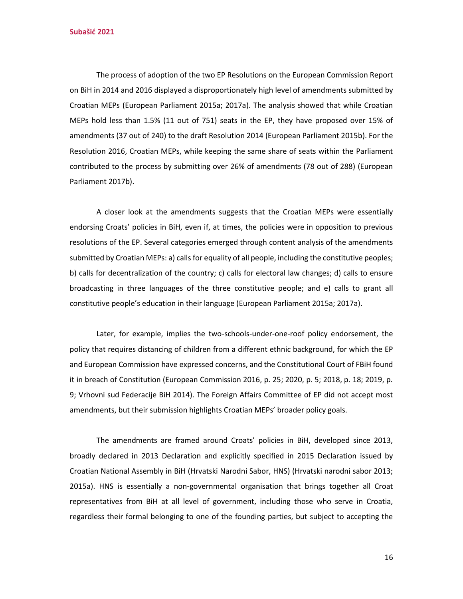**Subašić 2021**

The process of adoption of the two EP Resolutions on the European Commission Report on BiH in 2014 and 2016 displayed a disproportionately high level of amendments submitted by Croatian MEPs (European Parliament 2015a; 2017a). The analysis showed that while Croatian MEPs hold less than 1.5% (11 out of 751) seats in the EP, they have proposed over 15% of amendments (37 out of 240) to the draft Resolution 2014 (European Parliament 2015b). For the Resolution 2016, Croatian MEPs, while keeping the same share of seats within the Parliament contributed to the process by submitting over 26% of amendments (78 out of 288) (European Parliament 2017b).

A closer look at the amendments suggests that the Croatian MEPs were essentially endorsing Croats' policies in BiH, even if, at times, the policies were in opposition to previous resolutions of the EP. Several categories emerged through content analysis of the amendments submitted by Croatian MEPs: a) calls for equality of all people, including the constitutive peoples; b) calls for decentralization of the country; c) calls for electoral law changes; d) calls to ensure broadcasting in three languages of the three constitutive people; and e) calls to grant all constitutive people's education in their language (European Parliament 2015a; 2017a).

Later, for example, implies the two-schools-under-one-roof policy endorsement, the policy that requires distancing of children from a different ethnic background, for which the EP and European Commission have expressed concerns, and the Constitutional Court of FBiH found it in breach of Constitution (European Commission 2016, p. 25; 2020, p. 5; 2018, p. 18; 2019, p. 9; Vrhovni sud Federacije BiH 2014). The Foreign Affairs Committee of EP did not accept most amendments, but their submission highlights Croatian MEPs' broader policy goals.

The amendments are framed around Croats' policies in BiH, developed since 2013, broadly declared in 2013 Declaration and explicitly specified in 2015 Declaration issued by Croatian National Assembly in BiH (Hrvatski Narodni Sabor, HNS) (Hrvatski narodni sabor 2013; 2015a). HNS is essentially a non-governmental organisation that brings together all Croat representatives from BiH at all level of government, including those who serve in Croatia, regardless their formal belonging to one of the founding parties, but subject to accepting the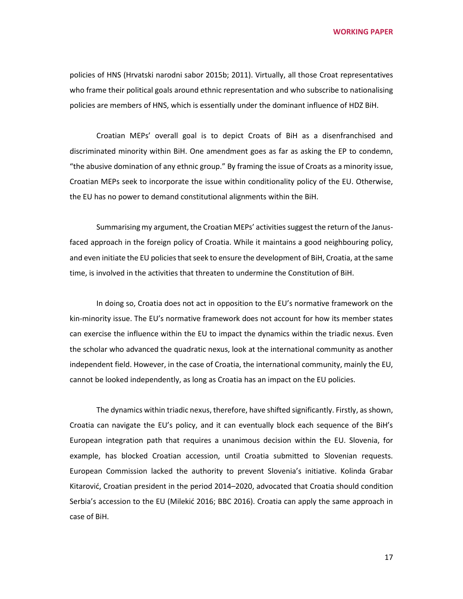policies of HNS (Hrvatski narodni sabor 2015b; 2011). Virtually, all those Croat representatives who frame their political goals around ethnic representation and who subscribe to nationalising policies are members of HNS, which is essentially under the dominant influence of HDZ BiH.

Croatian MEPs' overall goal is to depict Croats of BiH as a disenfranchised and discriminated minority within BiH. One amendment goes as far as asking the EP to condemn, "the abusive domination of any ethnic group." By framing the issue of Croats as a minority issue, Croatian MEPs seek to incorporate the issue within conditionality policy of the EU. Otherwise, the EU has no power to demand constitutional alignments within the BiH.

Summarising my argument, the Croatian MEPs' activities suggest the return of the Janusfaced approach in the foreign policy of Croatia. While it maintains a good neighbouring policy, and even initiate the EU policies that seek to ensure the development of BiH, Croatia, at the same time, is involved in the activities that threaten to undermine the Constitution of BiH.

In doing so, Croatia does not act in opposition to the EU's normative framework on the kin-minority issue. The EU's normative framework does not account for how its member states can exercise the influence within the EU to impact the dynamics within the triadic nexus. Even the scholar who advanced the quadratic nexus, look at the international community as another independent field. However, in the case of Croatia, the international community, mainly the EU, cannot be looked independently, as long as Croatia has an impact on the EU policies.

The dynamics within triadic nexus, therefore, have shifted significantly. Firstly, as shown, Croatia can navigate the EU's policy, and it can eventually block each sequence of the BiH's European integration path that requires a unanimous decision within the EU. Slovenia, for example, has blocked Croatian accession, until Croatia submitted to Slovenian requests. European Commission lacked the authority to prevent Slovenia's initiative. Kolinda Grabar Kitarović, Croatian president in the period 2014–2020, advocated that Croatia should condition Serbia's accession to the EU (Milekić 2016; BBC 2016). Croatia can apply the same approach in case of BiH.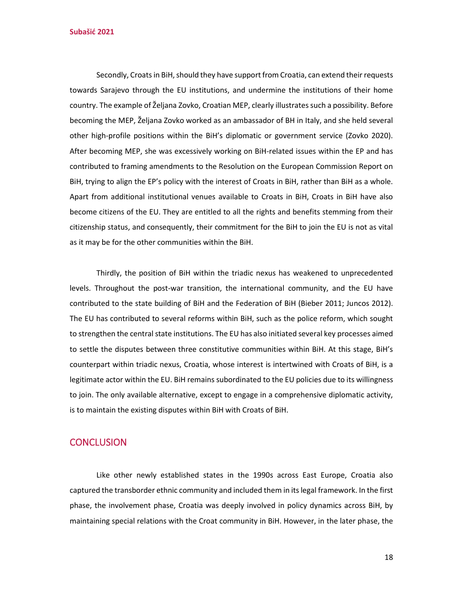**Subašić 2021**

Secondly, Croats in BiH, should they have support from Croatia, can extend their requests towards Sarajevo through the EU institutions, and undermine the institutions of their home country. The example of Željana Zovko, Croatian MEP, clearly illustrates such a possibility. Before becoming the MEP, Željana Zovko worked as an ambassador of BH in Italy, and she held several other high-profile positions within the BiH's diplomatic or government service (Zovko 2020). After becoming MEP, she was excessively working on BiH-related issues within the EP and has contributed to framing amendments to the Resolution on the European Commission Report on BiH, trying to align the EP's policy with the interest of Croats in BiH, rather than BiH as a whole. Apart from additional institutional venues available to Croats in BiH, Croats in BiH have also become citizens of the EU. They are entitled to all the rights and benefits stemming from their citizenship status, and consequently, their commitment for the BiH to join the EU is not as vital as it may be for the other communities within the BiH.

Thirdly, the position of BiH within the triadic nexus has weakened to unprecedented levels. Throughout the post-war transition, the international community, and the EU have contributed to the state building of BiH and the Federation of BiH (Bieber 2011; Juncos 2012). The EU has contributed to several reforms within BiH, such as the police reform, which sought to strengthen the central state institutions. The EU has also initiated several key processes aimed to settle the disputes between three constitutive communities within BiH. At this stage, BiH's counterpart within triadic nexus, Croatia, whose interest is intertwined with Croats of BiH, is a legitimate actor within the EU. BiH remains subordinated to the EU policies due to its willingness to join. The only available alternative, except to engage in a comprehensive diplomatic activity, is to maintain the existing disputes within BiH with Croats of BiH.

#### **CONCLUSION**

Like other newly established states in the 1990s across East Europe, Croatia also captured the transborder ethnic community and included them in its legal framework. In the first phase, the involvement phase, Croatia was deeply involved in policy dynamics across BiH, by maintaining special relations with the Croat community in BiH. However, in the later phase, the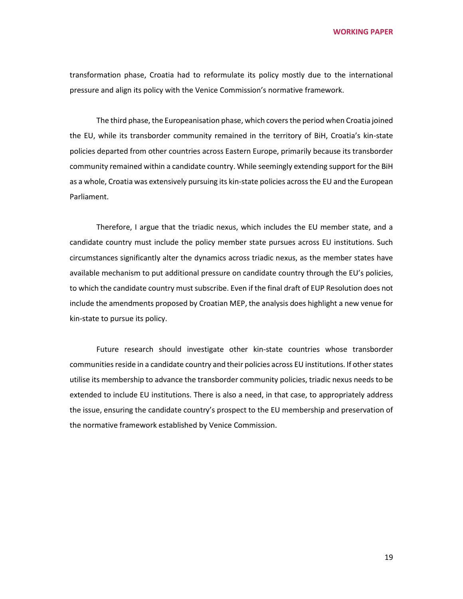transformation phase, Croatia had to reformulate its policy mostly due to the international pressure and align its policy with the Venice Commission's normative framework.

The third phase, the Europeanisation phase, which covers the period when Croatia joined the EU, while its transborder community remained in the territory of BiH, Croatia's kin-state policies departed from other countries across Eastern Europe, primarily because its transborder community remained within a candidate country. While seemingly extending support for the BiH as a whole, Croatia was extensively pursuing its kin-state policies across the EU and the European Parliament.

Therefore, I argue that the triadic nexus, which includes the EU member state, and a candidate country must include the policy member state pursues across EU institutions. Such circumstances significantly alter the dynamics across triadic nexus, as the member states have available mechanism to put additional pressure on candidate country through the EU's policies, to which the candidate country must subscribe. Even if the final draft of EUP Resolution does not include the amendments proposed by Croatian MEP, the analysis does highlight a new venue for kin-state to pursue its policy.

Future research should investigate other kin-state countries whose transborder communities reside in a candidate country and their policies across EU institutions. If other states utilise its membership to advance the transborder community policies, triadic nexus needs to be extended to include EU institutions. There is also a need, in that case, to appropriately address the issue, ensuring the candidate country's prospect to the EU membership and preservation of the normative framework established by Venice Commission.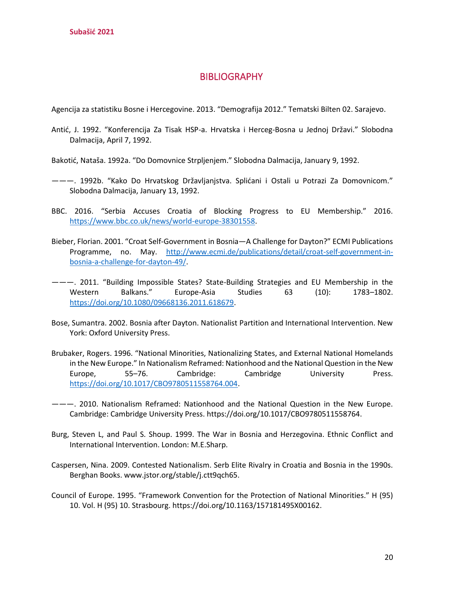# **BIBLIOGRAPHY**

Agencija za statistiku Bosne i Hercegovine. 2013. "Demografija 2012." Tematski Bilten 02. Sarajevo.

- Antić, J. 1992. "Konferencija Za Tisak HSP-a. Hrvatska i Herceg-Bosna u Jednoj Državi." Slobodna Dalmacija, April 7, 1992.
- Bakotić, Nataša. 1992a. "Do Domovnice Strpljenjem." Slobodna Dalmacija, January 9, 1992.
- ———. 1992b. "Kako Do Hrvatskog Državljanjstva. Splićani i Ostali u Potrazi Za Domovnicom." Slobodna Dalmacija, January 13, 1992.
- BBC. 2016. "Serbia Accuses Croatia of Blocking Progress to EU Membership." 2016. [https://www.bbc.co.uk/news/world-europe-38301558.](https://www.bbc.co.uk/news/world-europe-38301558)
- Bieber, Florian. 2001. "Croat Self-Government in Bosnia—A Challenge for Dayton?" ECMI Publications Programme, no. May. [http://www.ecmi.de/publications/detail/croat-self-government-in](http://www.ecmi.de/publications/detail/croat-self-government-in-bosnia-a-challenge-for-dayton-49/)[bosnia-a-challenge-for-dayton-49/.](http://www.ecmi.de/publications/detail/croat-self-government-in-bosnia-a-challenge-for-dayton-49/)
- ———. 2011. "Building Impossible States? State-Building Strategies and EU Membership in the Western Balkans." Europe-Asia Studies 63 (10): 1783–1802. [https://doi.org/10.1080/09668136.2011.618679.](https://doi.org/10.1080/09668136.2011.618679)
- Bose, Sumantra. 2002. Bosnia after Dayton. Nationalist Partition and International Intervention. New York: Oxford University Press.
- Brubaker, Rogers. 1996. "National Minorities, Nationalizing States, and External National Homelands in the New Europe." In Nationalism Reframed: Nationhood and the National Question in the New Europe, 55–76. Cambridge: Cambridge University Press. [https://doi.org/10.1017/CBO9780511558764.004.](https://doi.org/10.1017/CBO9780511558764.004)
- ———. 2010. Nationalism Reframed: Nationhood and the National Question in the New Europe. Cambridge: Cambridge University Press. https://doi.org/10.1017/CBO9780511558764.
- Burg, Steven L, and Paul S. Shoup. 1999. The War in Bosnia and Herzegovina. Ethnic Conflict and International Intervention. London: M.E.Sharp.
- Caspersen, Nina. 2009. Contested Nationalism. Serb Elite Rivalry in Croatia and Bosnia in the 1990s. Berghan Books. www.jstor.org/stable/j.ctt9qch65.
- Council of Europe. 1995. "Framework Convention for the Protection of National Minorities." H (95) 10. Vol. H (95) 10. Strasbourg. https://doi.org/10.1163/157181495X00162.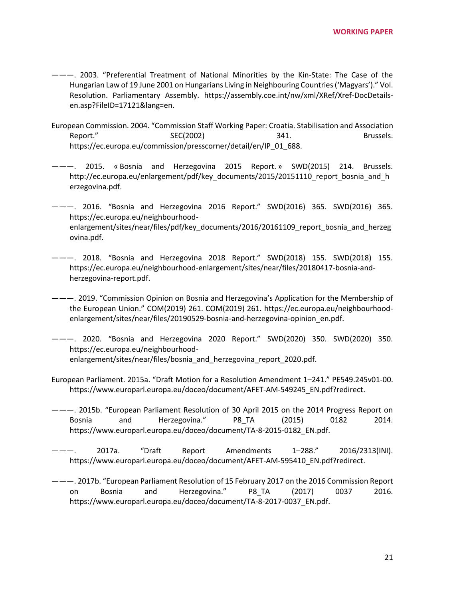- ———. 2003. "Preferential Treatment of National Minorities by the Kin-State: The Case of the Hungarian Law of 19 June 2001 on Hungarians Living in Neighbouring Countries ('Magyars')." Vol. Resolution. Parliamentary Assembly. https://assembly.coe.int/nw/xml/XRef/Xref-DocDetailsen.asp?FileID=17121&lang=en.
- European Commission. 2004. "Commission Staff Working Paper: Croatia. Stabilisation and Association Report." SEC(2002) SEC(2002) 341. Brussels. https://ec.europa.eu/commission/presscorner/detail/en/IP\_01\_688.
- ———. 2015. « Bosnia and Herzegovina 2015 Report. » SWD(2015) 214. Brussels. http://ec.europa.eu/enlargement/pdf/key\_documents/2015/20151110\_report\_bosnia\_and\_h erzegovina.pdf.
- ———. 2016. "Bosnia and Herzegovina 2016 Report." SWD(2016) 365. SWD(2016) 365. https://ec.europa.eu/neighbourhoodenlargement/sites/near/files/pdf/key\_documents/2016/20161109\_report\_bosnia\_and\_herzeg ovina.pdf.
- ———. 2018. "Bosnia and Herzegovina 2018 Report." SWD(2018) 155. SWD(2018) 155. https://ec.europa.eu/neighbourhood-enlargement/sites/near/files/20180417-bosnia-andherzegovina-report.pdf.
- ———. 2019. "Commission Opinion on Bosnia and Herzegovina's Application for the Membership of the European Union." COM(2019) 261. COM(2019) 261. https://ec.europa.eu/neighbourhoodenlargement/sites/near/files/20190529-bosnia-and-herzegovina-opinion\_en.pdf.
- ———. 2020. "Bosnia and Herzegovina 2020 Report." SWD(2020) 350. SWD(2020) 350. https://ec.europa.eu/neighbourhoodenlargement/sites/near/files/bosnia\_and\_herzegovina\_report\_2020.pdf.
- European Parliament. 2015a. "Draft Motion for a Resolution Amendment 1–241." PE549.245v01-00. https://www.europarl.europa.eu/doceo/document/AFET-AM-549245\_EN.pdf?redirect.
- ———. 2015b. "European Parliament Resolution of 30 April 2015 on the 2014 Progress Report on Bosnia and Herzegovina." P8\_TA (2015) 0182 2014. https://www.europarl.europa.eu/doceo/document/TA-8-2015-0182\_EN.pdf.
- ———. 2017a. "Draft Report Amendments 1–288." 2016/2313(INI). https://www.europarl.europa.eu/doceo/document/AFET-AM-595410\_EN.pdf?redirect.
- ———. 2017b. "European Parliament Resolution of 15 February 2017 on the 2016 Commission Report on Bosnia and Herzegovina." P8\_TA (2017) 0037 2016. https://www.europarl.europa.eu/doceo/document/TA-8-2017-0037\_EN.pdf.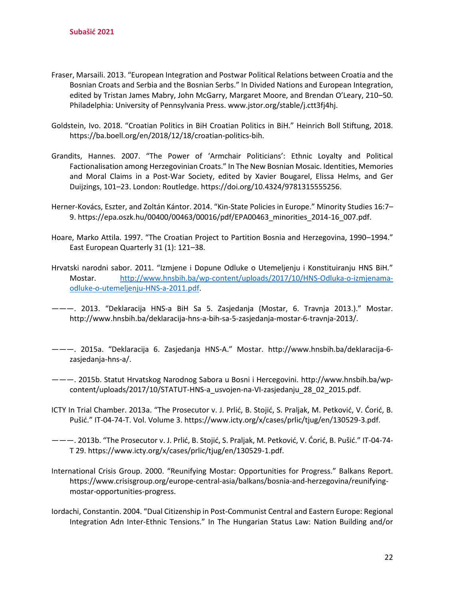- Fraser, Marsaili. 2013. "European Integration and Postwar Political Relations between Croatia and the Bosnian Croats and Serbia and the Bosnian Serbs." In Divided Nations and European Integration, edited by Tristan James Mabry, John McGarry, Margaret Moore, and Brendan O'Leary, 210–50. Philadelphia: University of Pennsylvania Press. www.jstor.org/stable/j.ctt3fj4hj.
- Goldstein, Ivo. 2018. "Croatian Politics in BiH Croatian Politics in BiH." Heinrich Boll Stiftung, 2018. https://ba.boell.org/en/2018/12/18/croatian-politics-bih.
- Grandits, Hannes. 2007. "The Power of 'Armchair Politicians': Ethnic Loyalty and Political Factionalisation among Herzegovinian Croats." In The New Bosnian Mosaic. Identities, Memories and Moral Claims in a Post-War Society, edited by Xavier Bougarel, Elissa Helms, and Ger Duijzings, 101–23. London: Routledge. https://doi.org/10.4324/9781315555256.
- Herner-Kovács, Eszter, and Zoltán Kántor. 2014. "Kin-State Policies in Europe." Minority Studies 16:7– 9. https://epa.oszk.hu/00400/00463/00016/pdf/EPA00463\_minorities\_2014-16\_007.pdf.
- Hoare, Marko Attila. 1997. "The Croatian Project to Partition Bosnia and Herzegovina, 1990–1994." East European Quarterly 31 (1): 121–38.
- Hrvatski narodni sabor. 2011. "Izmjene i Dopune Odluke o Utemeljenju i Konstituiranju HNS BiH." Mostar. [http://www.hnsbih.ba/wp-content/uploads/2017/10/HNS-Odluka-o-izmjenama](http://www.hnsbih.ba/wp-content/uploads/2017/10/HNS-Odluka-o-izmjenama-odluke-o-utemeljenju-HNS-a-2011.pdf)[odluke-o-utemeljenju-HNS-a-2011.pdf.](http://www.hnsbih.ba/wp-content/uploads/2017/10/HNS-Odluka-o-izmjenama-odluke-o-utemeljenju-HNS-a-2011.pdf)
- ———. 2013. "Deklaracija HNS-a BiH Sa 5. Zasjedanja (Mostar, 6. Travnja 2013.)." Mostar. http://www.hnsbih.ba/deklaracija-hns-a-bih-sa-5-zasjedanja-mostar-6-travnja-2013/.
- ———. 2015a. "Deklaracija 6. Zasjedanja HNS-A." Mostar. http://www.hnsbih.ba/deklaracija-6 zasjedanja-hns-a/.
- ———. 2015b. Statut Hrvatskog Narodnog Sabora u Bosni i Hercegovini. http://www.hnsbih.ba/wpcontent/uploads/2017/10/STATUT-HNS-a\_usvojen-na-VI-zasjedanju\_28\_02\_2015.pdf.
- ICTY In Trial Chamber. 2013a. "The Prosecutor v. J. Prlić, B. Stojić, S. Praljak, M. Petković, V. Ćorić, B. Pušić." IT-04-74-T. Vol. Volume 3. https://www.icty.org/x/cases/prlic/tjug/en/130529-3.pdf.
- ———. 2013b. "The Prosecutor v. J. Prlić, B. Stojić, S. Praljak, M. Petković, V. Ćorić, B. Pušić." IT-04-74- T 29. https://www.icty.org/x/cases/prlic/tjug/en/130529-1.pdf.
- International Crisis Group. 2000. "Reunifying Mostar: Opportunities for Progress." Balkans Report. https://www.crisisgroup.org/europe-central-asia/balkans/bosnia-and-herzegovina/reunifyingmostar-opportunities-progress.
- Iordachi, Constantin. 2004. "Dual Citizenship in Post-Communist Central and Eastern Europe: Regional Integration Adn Inter-Ethnic Tensions." In The Hungarian Status Law: Nation Building and/or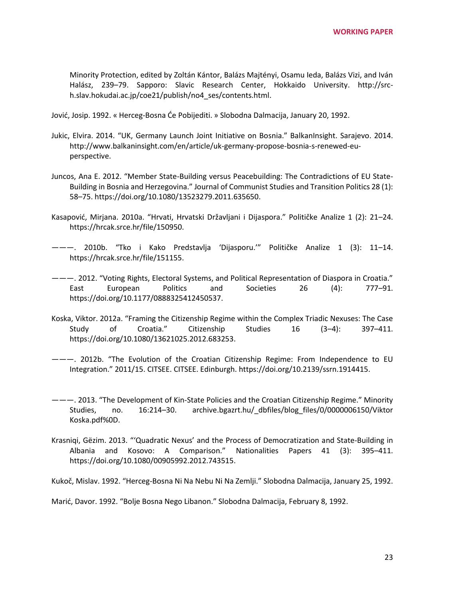Minority Protection, edited by Zoltán Kántor, Balázs Majtényi, Osamu Ieda, Balázs Vizi, and Iván Halász, 239–79. Sapporo: Slavic Research Center, Hokkaido University. http://srch.slav.hokudai.ac.jp/coe21/publish/no4\_ses/contents.html.

Jović, Josip. 1992. « Herceg-Bosna Će Pobijediti. » Slobodna Dalmacija, January 20, 1992.

- Jukic, Elvira. 2014. "UK, Germany Launch Joint Initiative on Bosnia." BalkanInsight. Sarajevo. 2014. http://www.balkaninsight.com/en/article/uk-germany-propose-bosnia-s-renewed-euperspective.
- Juncos, Ana E. 2012. "Member State-Building versus Peacebuilding: The Contradictions of EU State-Building in Bosnia and Herzegovina." Journal of Communist Studies and Transition Politics 28 (1): 58–75. https://doi.org/10.1080/13523279.2011.635650.
- Kasapović, Mirjana. 2010a. "Hrvati, Hrvatski Državljani i Dijaspora." Političke Analize 1 (2): 21–24. https://hrcak.srce.hr/file/150950.
- ———. 2010b. "Tko i Kako Predstavlja 'Dijasporu.'" Političke Analize 1 (3): 11–14. https://hrcak.srce.hr/file/151155.
- ———. 2012. "Voting Rights, Electoral Systems, and Political Representation of Diaspora in Croatia." East European Politics and Societies 26 (4): 777–91. https://doi.org/10.1177/0888325412450537.
- Koska, Viktor. 2012a. "Framing the Citizenship Regime within the Complex Triadic Nexuses: The Case Study of Croatia." Citizenship Studies 16 (3–4): 397–411. https://doi.org/10.1080/13621025.2012.683253.
- ———. 2012b. "The Evolution of the Croatian Citizenship Regime: From Independence to EU Integration." 2011/15. CITSEE. CITSEE. Edinburgh. https://doi.org/10.2139/ssrn.1914415.
- ———. 2013. "The Development of Kin-State Policies and the Croatian Citizenship Regime." Minority Studies, no. 16:214–30. archive.bgazrt.hu/\_dbfiles/blog\_files/0/0000006150/Viktor Koska.pdf%0D.
- Krasniqi, Gëzim. 2013. "'Quadratic Nexus' and the Process of Democratization and State-Building in Albania and Kosovo: A Comparison." Nationalities Papers 41 (3): 395–411. https://doi.org/10.1080/00905992.2012.743515.

Kukoč, Mislav. 1992. "Herceg-Bosna Ni Na Nebu Ni Na Zemlji." Slobodna Dalmacija, January 25, 1992.

Marić, Davor. 1992. "Bolje Bosna Nego Libanon." Slobodna Dalmacija, February 8, 1992.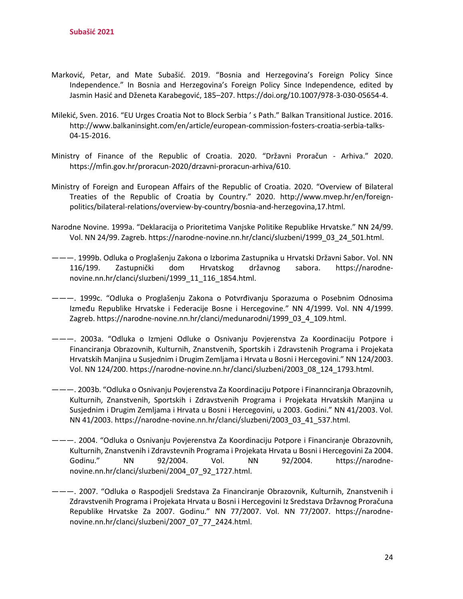- Marković, Petar, and Mate Subašić. 2019. "Bosnia and Herzegovina's Foreign Policy Since Independence." In Bosnia and Herzegovina's Foreign Policy Since Independence, edited by Jasmin Hasić and Dženeta Karabegović, 185–207. https://doi.org/10.1007/978-3-030-05654-4.
- Milekić, Sven. 2016. "EU Urges Croatia Not to Block Serbia ' s Path." Balkan Transitional Justice. 2016. http://www.balkaninsight.com/en/article/european-commission-fosters-croatia-serbia-talks-04-15-2016.
- Ministry of Finance of the Republic of Croatia. 2020. "Državni Proračun Arhiva." 2020. https://mfin.gov.hr/proracun-2020/drzavni-proracun-arhiva/610.
- Ministry of Foreign and European Affairs of the Republic of Croatia. 2020. "Overview of Bilateral Treaties of the Republic of Croatia by Country." 2020. http://www.mvep.hr/en/foreignpolitics/bilateral-relations/overview-by-country/bosnia-and-herzegovina,17.html.
- Narodne Novine. 1999a. "Deklaracija o Prioritetima Vanjske Politike Republike Hrvatske." NN 24/99. Vol. NN 24/99. Zagreb. https://narodne-novine.nn.hr/clanci/sluzbeni/1999\_03\_24\_501.html.
- ———. 1999b. Odluka o Proglašenju Zakona o Izborima Zastupnika u Hrvatski Državni Sabor. Vol. NN 116/199. Zastupnički dom Hrvatskog državnog sabora. https://narodnenovine.nn.hr/clanci/sluzbeni/1999\_11\_116\_1854.html.
- ———. 1999c. "Odluka o Proglašenju Zakona o Potvrđivanju Sporazuma o Posebnim Odnosima Između Republike Hrvatske i Federacije Bosne i Hercegovine." NN 4/1999. Vol. NN 4/1999. Zagreb. https://narodne-novine.nn.hr/clanci/medunarodni/1999\_03\_4\_109.html.
- ———. 2003a. "Odluka o Izmjeni Odluke o Osnivanju Povjerenstva Za Koordinaciju Potpore i Financiranja Obrazovnih, Kulturnih, Znanstvenih, Sportskih i Zdravstenih Programa i Projekata Hrvatskih Manjina u Susjednim i Drugim Zemljama i Hrvata u Bosni i Hercegovini." NN 124/2003. Vol. NN 124/200. https://narodne-novine.nn.hr/clanci/sluzbeni/2003\_08\_124\_1793.html.
- ———. 2003b. "Odluka o Osnivanju Povjerenstva Za Koordinaciju Potpore i Finannciranja Obrazovnih, Kulturnih, Znanstvenih, Sportskih i Zdravstvenih Programa i Projekata Hrvatskih Manjina u Susjednim i Drugim Zemljama i Hrvata u Bosni i Hercegovini, u 2003. Godini." NN 41/2003. Vol. NN 41/2003. https://narodne-novine.nn.hr/clanci/sluzbeni/2003\_03\_41\_537.html.
- ———. 2004. "Odluka o Osnivanju Povjerenstva Za Koordinaciju Potpore i Financiranje Obrazovnih, Kulturnih, Znanstvenih i Zdravstevnih Programa i Projekata Hrvata u Bosni i Hercegovini Za 2004. Godinu." NN 92/2004. Vol. NN 92/2004. https://narodnenovine.nn.hr/clanci/sluzbeni/2004\_07\_92\_1727.html.
- ———. 2007. "Odluka o Raspodjeli Sredstava Za Financiranje Obrazovnik, Kulturnih, Znanstvenih i Zdravstvenih Programa i Projekata Hrvata u Bosni i Hercegovini Iz Sredstava Državnog Proračuna Republike Hrvatske Za 2007. Godinu." NN 77/2007. Vol. NN 77/2007. https://narodnenovine.nn.hr/clanci/sluzbeni/2007\_07\_77\_2424.html.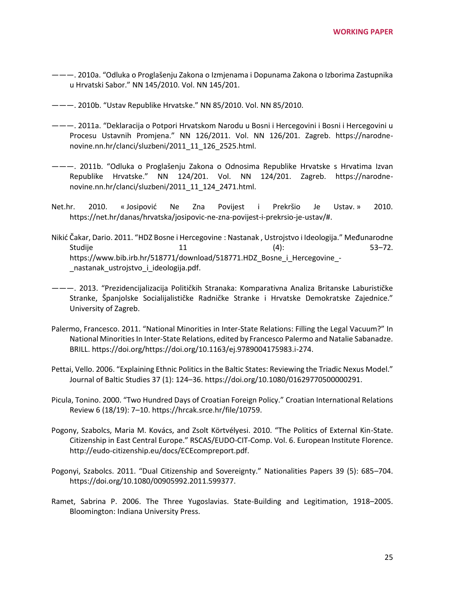- ———. 2010a. "Odluka o Proglašenju Zakona o Izmjenama i Dopunama Zakona o Izborima Zastupnika u Hrvatski Sabor." NN 145/2010. Vol. NN 145/201.
- ———. 2010b. "Ustav Republike Hrvatske." NN 85/2010. Vol. NN 85/2010.
- ———. 2011a. "Deklaracija o Potpori Hrvatskom Narodu u Bosni i Hercegovini i Bosni i Hercegovini u Procesu Ustavnih Promjena." NN 126/2011. Vol. NN 126/201. Zagreb. https://narodnenovine.nn.hr/clanci/sluzbeni/2011\_11\_126\_2525.html.
- ———. 2011b. "Odluka o Proglašenju Zakona o Odnosima Republike Hrvatske s Hrvatima Izvan Republike Hrvatske." NN 124/201. Vol. NN 124/201. Zagreb. https://narodnenovine.nn.hr/clanci/sluzbeni/2011\_11\_124\_2471.html.
- Net.hr. 2010. « Josipović Ne Zna Povijest i Prekršio Je Ustav. » 2010. https://net.hr/danas/hrvatska/josipovic-ne-zna-povijest-i-prekrsio-je-ustav/#.
- Nikić Čakar, Dario. 2011. "HDZ Bosne i Hercegovine : Nastanak , Ustrojstvo i Ideologija." Međunarodne Studije 11 12 (4): 53–72. https://www.bib.irb.hr/518771/download/518771.HDZ\_Bosne\_i\_Hercegovine\_- \_nastanak\_ustrojstvo\_i\_ideologija.pdf.
- ———. 2013. "Prezidencijalizacija Političkih Stranaka: Komparativna Analiza Britanske Laburističke Stranke, Španjolske Socialijalističke Radničke Stranke i Hrvatske Demokratske Zajednice." University of Zagreb.
- Palermo, Francesco. 2011. "National Minorities in Inter-State Relations: Filling the Legal Vacuum?" In National Minorities In Inter-State Relations, edited by Francesco Palermo and Natalie Sabanadze. BRILL. https://doi.org/https://doi.org/10.1163/ej.9789004175983.i-274.
- Pettai, Vello. 2006. "Explaining Ethnic Politics in the Baltic States: Reviewing the Triadic Nexus Model." Journal of Baltic Studies 37 (1): 124–36. https://doi.org/10.1080/01629770500000291.
- Picula, Tonino. 2000. "Two Hundred Days of Croatian Foreign Policy." Croatian International Relations Review 6 (18/19): 7–10. https://hrcak.srce.hr/file/10759.
- Pogony, Szabolcs, Maria M. Kovács, and Zsolt Körtvélyesi. 2010. "The Politics of External Kin-State. Citizenship in East Central Europe." RSCAS/EUDO-CIT-Comp. Vol. 6. European Institute Florence. http://eudo-citizenship.eu/docs/ECEcompreport.pdf.
- Pogonyi, Szabolcs. 2011. "Dual Citizenship and Sovereignty." Nationalities Papers 39 (5): 685–704. https://doi.org/10.1080/00905992.2011.599377.
- Ramet, Sabrina P. 2006. The Three Yugoslavias. State-Building and Legitimation, 1918–2005. Bloomington: Indiana University Press.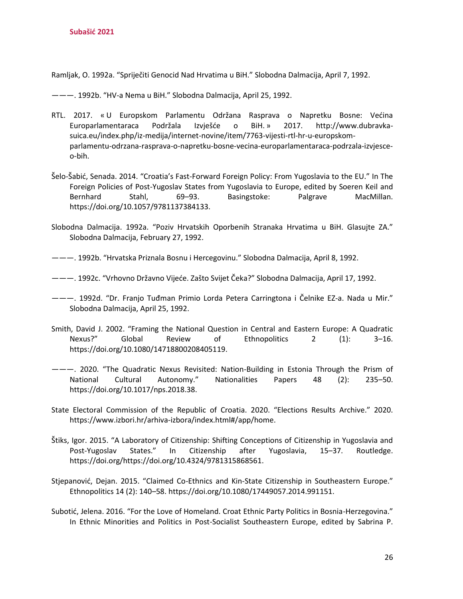Ramljak, O. 1992a. "Spriječiti Genocid Nad Hrvatima u BiH." Slobodna Dalmacija, April 7, 1992.

———. 1992b. "HV-a Nema u BiH." Slobodna Dalmacija, April 25, 1992.

- RTL. 2017. « U Europskom Parlamentu Održana Rasprava o Napretku Bosne: Većina Europarlamentaraca Podržala Izvješće o BiH. » 2017. http://www.dubravkasuica.eu/index.php/iz-medija/internet-novine/item/7763-vijesti-rtl-hr-u-europskomparlamentu-odrzana-rasprava-o-napretku-bosne-vecina-europarlamentaraca-podrzala-izvjesceo-bih.
- Šelo-Šabić, Senada. 2014. "Croatia's Fast-Forward Foreign Policy: From Yugoslavia to the EU." In The Foreign Policies of Post-Yugoslav States from Yugoslavia to Europe, edited by Soeren Keil and Bernhard Stahl, 69–93. Basingstoke: Palgrave MacMillan. https://doi.org/10.1057/9781137384133.
- Slobodna Dalmacija. 1992a. "Poziv Hrvatskih Oporbenih Stranaka Hrvatima u BiH. Glasujte ZA." Slobodna Dalmacija, February 27, 1992.
- ———. 1992b. "Hrvatska Priznala Bosnu i Hercegovinu." Slobodna Dalmacija, April 8, 1992.
- ———. 1992c. "Vrhovno Državno Vijeće. Zašto Svijet Čeka?" Slobodna Dalmacija, April 17, 1992.
- ———. 1992d. "Dr. Franjo Tuđman Primio Lorda Petera Carringtona i Čelnike EZ-a. Nada u Mir." Slobodna Dalmacija, April 25, 1992.
- Smith, David J. 2002. "Framing the National Question in Central and Eastern Europe: A Quadratic Nexus?" Global Review of Ethnopolitics 2 (1): 3–16. https://doi.org/10.1080/14718800208405119.
- ———. 2020. "The Quadratic Nexus Revisited: Nation-Building in Estonia Through the Prism of National Cultural Autonomy." Nationalities Papers 48 (2): 235–50. https://doi.org/10.1017/nps.2018.38.
- State Electoral Commission of the Republic of Croatia. 2020. "Elections Results Archive." 2020. https://www.izbori.hr/arhiva-izbora/index.html#/app/home.
- Štiks, Igor. 2015. "A Laboratory of Citizenship: Shifting Conceptions of Citizenship in Yugoslavia and Post-Yugoslav States." In Citizenship after Yugoslavia, 15–37. Routledge. https://doi.org/https://doi.org/10.4324/9781315868561.
- Stjepanović, Dejan. 2015. "Claimed Co-Ethnics and Kin-State Citizenship in Southeastern Europe." Ethnopolitics 14 (2): 140–58. https://doi.org/10.1080/17449057.2014.991151.
- Subotić, Jelena. 2016. "For the Love of Homeland. Croat Ethnic Party Politics in Bosnia-Herzegovina." In Ethnic Minorities and Politics in Post-Socialist Southeastern Europe, edited by Sabrina P.